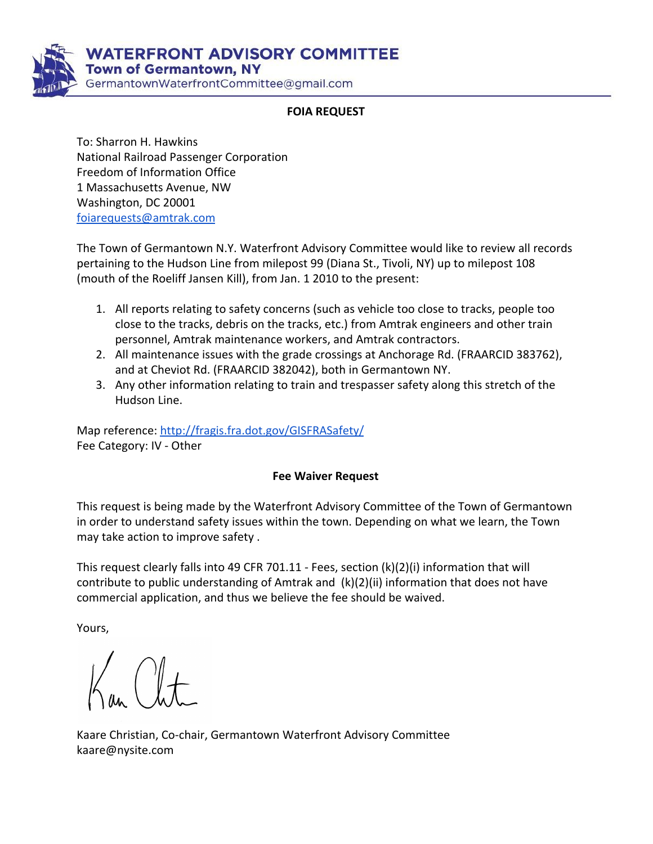

**WATERFRONT ADVISORY COMMITTEE Town of Germantown, NY** GermantownWaterfrontCommittee@gmail.com

## **FOIA REQUEST**

To: Sharron H. Hawkins National Railroad Passenger Corporation Freedom of Information Office 1 Massachusetts Avenue, NW Washington, DC 20001 [foiarequests@amtrak.com](mailto:foiarequests@amtrak.com)

The Town of Germantown N.Y. Waterfront Advisory Committee would like to review all records pertaining to the Hudson Line from milepost 99 (Diana St., Tivoli, NY) up to milepost 108 (mouth of the Roeliff Jansen Kill), from Jan. 1 2010 to the present:

- 1. All reports relating to safety concerns (such as vehicle too close to tracks, people too close to the tracks, debris on the tracks, etc.) from Amtrak engineers and other train personnel, Amtrak maintenance workers, and Amtrak contractors.
- 2. All maintenance issues with the grade crossings at Anchorage Rd. (FRAARCID 383762), and at Cheviot Rd. (FRAARCID 382042), both in Germantown NY.
- 3. Any other information relating to train and trespasser safety along this stretch of the Hudson Line.

Map reference:<http://fragis.fra.dot.gov/GISFRASafety/> Fee Category: IV - Other

## **Fee Waiver Request**

This request is being made by the Waterfront Advisory Committee of the Town of Germantown in order to understand safety issues within the town. Depending on what we learn, the Town may take action to improve safety .

This request clearly falls into 49 CFR 701.11 - Fees, section (k)(2)(i) information that will contribute to public understanding of Amtrak and (k)(2)(ii) information that does not have commercial application, and thus we believe the fee should be waived.

Yours,

Kaare Christian, Co-chair, Germantown Waterfront Advisory Committee kaare@nysite.com